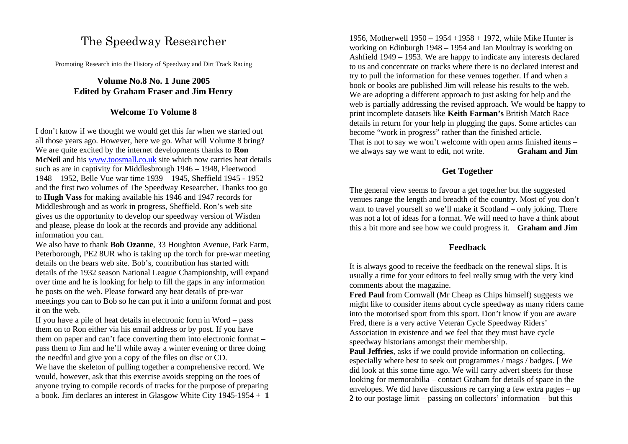# The Speedway Researcher

Promoting Research into the History of Speedway and Dirt Track Racing

# **Volume No.8 No. 1 June 2005 Edited by Graham Fraser and Jim Henry**

### **Welcome To Volume 8**

I don't know if we thought we would get this far when we started out all those years ago. However, here we go. What will Volume 8 bring? We are quite excited by the internet developments thanks to **Ron McNeil** and his www.toosmall.co.uk site which now carries heat details such as are in captivity for Middlesbrough 1946 – 1948, Fleetwood 1948 – 1952, Belle Vue war time 1939 – 1945, Sheffield 1945 - 1952 and the first two volumes of The Speedway Researcher. Thanks too go to **Hugh Vass** for making available his 1946 and 1947 records for Middlesbrough and as work in progress, Sheffield. Ron's web site gives us the opportunity to develop our speedway version of Wisden and please, please do look at the records and provide any additional information you can.

We also have to thank **Bob Ozanne**, 33 Houghton Avenue, Park Farm, Peterborough, PE2 8UR who is taking up the torch for pre-war meeting details on the bears web site. Bob's, contribution has started with details of the 1932 season National League Championship, will expand over time and he is looking for help to fill the gaps in any information he posts on the web. Please forward any heat details of pre-war meetings you can to Bob so he can put it into a uniform format and post it on the web.

If you have a pile of heat details in electronic form in Word – pass them on to Ron either via his email address or by post. If you have them on paper and can't face converting them into electronic format – pass them to Jim and he'll while away a winter evening or three doing the needful and give you a copy of the files on disc or CD.

We have the skeleton of pulling together a comprehensive record. We would, however, ask that this exercise avoids stepping on the toes of anyone trying to compile records of tracks for the purpose of preparing a book. Jim declares an interest in Glasgow White City 1945-1954 + **1** 

1956, Motherwell 1950 – 1954 +1958 + 1972, while Mike Hunter is working on Edinburgh 1948 – 1954 and Ian Moultray is working on Ashfield 1949 – 1953. We are happy to indicate any interests declared to us and concentrate on tracks where there is no declared interest and try to pull the information for these venues together. If and when a book or books are published Jim will release his results to the web. We are adopting a different approach to just asking for help and the web is partially addressing the revised approach. We would be happy to print incomplete datasets like **Keith Farman's** British Match Race details in return for your help in plugging the gaps. Some articles can become "work in progress" rather than the finished article. That is not to say we won't welcome with open arms finished items – we always say we want to edit, not write. **Graham and Jim**

# **Get Together**

The general view seems to favour a get together but the suggested venues range the length and breadth of the country. Most of you don't want to travel yourself so we'll make it Scotland – only joking. There was not a lot of ideas for a format. We will need to have a think about this a bit more and see how we could progress it. **Graham and Jim**

### **Feedback**

It is always good to receive the feedback on the renewal slips. It is usually a time for your editors to feel really smug with the very kind comments about the magazine.

**Fred Paul** from Cornwall (Mr Cheap as Chips himself) suggests we might like to consider items about cycle speedway as many riders came into the motorised sport from this sport. Don't know if you are aware Fred, there is a very active Veteran Cycle Speedway Riders' Association in existence and we feel that they must have cycle speedway historians amongst their membership.

**Paul Jeffries**, asks if we could provide information on collecting, especially where best to seek out programmes / mags / badges. [ We did look at this some time ago. We will carry advert sheets for those looking for memorabilia – contact Graham for details of space in the envelopes. We did have discussions re carrying a few extra pages – up **2** to our postage limit – passing on collectors' information – but this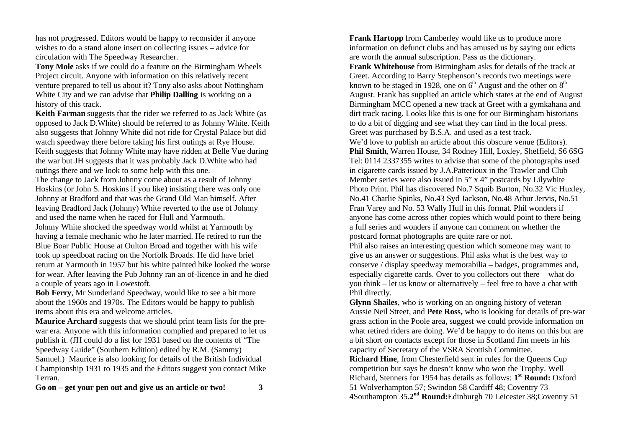has not progressed. Editors would be happy to reconsider if anyone wishes to do a stand alone insert on collecting issues – advice for circulation with The Speedway Researcher.

**Tony Mole** asks if we could do a feature on the Birmingham Wheels Project circuit. Anyone with information on this relatively recent venture prepared to tell us about it? Tony also asks about Nottingham White City and we can advise that **Philip Dalling** is working on a history of this track.

**Keith Farman** suggests that the rider we referred to as Jack White (as opposed to Jack D.White) should be referred to as Johnny White. Keith also suggests that Johnny White did not ride for Crystal Palace but did watch speedway there before taking his first outings at Rye House. Keith suggests that Johnny White may have ridden at Belle Vue during the war but JH suggests that it was probably Jack D.White who had outings there and we look to some help with this one.

The change to Jack from Johnny come about as a result of Johnny Hoskins (or John S. Hoskins if you like) insisting there was only one Johnny at Bradford and that was the Grand Old Man himself. After leaving Bradford Jack (Johnny) White reverted to the use of Johnny and used the name when he raced for Hull and Yarmouth.

Johnny White shocked the speedway world whilst at Yarmouth by having a female mechanic who he later married. He retired to run the Blue Boar Public House at Oulton Broad and together with his wife took up speedboat racing on the Norfolk Broads. He did have brief return at Yarmouth in 1957 but his white painted bike looked the worse for wear. After leaving the Pub Johnny ran an of-licence in and he died a couple of years ago in Lowestoft.

**Bob Ferry**, Mr Sunderland Speedway, would like to see a bit more about the 1960s and 1970s. The Editors would be happy to publish items about this era and welcome articles.

**Maurice Archard** suggests that we should print team lists for the prewar era. Anyone with this information complied and prepared to let us publish it. (JH could do a list for 1931 based on the contents of "The Speedway Guide" (Southern Edition) edited by R.M. (Sammy)

Samuel.) Maurice is also looking for details of the British Individual Championship 1931 to 1935 and the Editors suggest you contact Mike Terran.

**Go on – get your pen out and give us an article or two! 3**

**Frank Hartopp** from Camberley would like us to produce more information on defunct clubs and has amused us by saying our edicts are worth the annual subscription. Pass us the dictionary. **Frank Whitehouse** from Birmingham asks for details of the track at Greet. According to Barry Stephenson's records two meetings were known to be staged in 1928, one on  $6<sup>th</sup>$  August and the other on  $8<sup>th</sup>$ August. Frank has supplied an article which states at the end of August Birmingham MCC opened a new track at Greet with a gymkahana and dirt track racing. Looks like this is one for our Birmingham historians to do a bit of digging and see what they can find in the local press. Greet was purchased by B.S.A. and used as a test track. We'd love to publish an article about this obscure venue (Editors). **Phil Smith**, Warren House, 34 Rodney Hill, Loxley, Sheffield, S6 6SG Tel: 0114 2337355 writes to advise that some of the photographs used in cigarette cards issued by J.A.Patterioux in the Trawler and Club Member series were also issued in 5" x 4" postcards by Lilywhite Photo Print. Phil has discovered No.7 Squib Burton, No.32 Vic Huxley, No.41 Charlie Spinks, No.43 Syd Jackson, No.48 Athur Jervis, No.51 Fran Varey and No. 53 Wally Hull in this format. Phil wonders if anyone has come across other copies which would point to there being a full series and wonders if anyone can comment on whether the postcard format photographs are quite rare or not.

Phil also raises an interesting question which someone may want to give us an answer or suggestions. Phil asks what is the best way to conserve / display speedway memorabilia – badges, programmes and, especially cigarette cards. Over to you collectors out there – what do you think – let us know or alternatively – feel free to have a chat with Phil directly.

**Glynn Shailes**, who is working on an ongoing history of veteran Aussie Neil Street, and **Pete Ross,** who is looking for details of pre-war grass action in the Poole area, suggest we could provide information on what retired riders are doing. We'd be happy to do items on this but are a bit short on contacts except for those in Scotland Jim meets in his capacity of Secretary of the VSRA Scottish Committee.

**Richard Hine**, from Chesterfield sent in rules for the Queens Cup competition but says he doesn't know who won the Trophy. Well Richard, Stenners for 1954 has details as follows: **1 st Round:** Oxford 51 Wolverhampton 57; Swindon 58 Cardiff 48; Coventry 73 **4**Southampton 35.**2 nd Round:**Edinburgh 70 Leicester 38;Coventry 51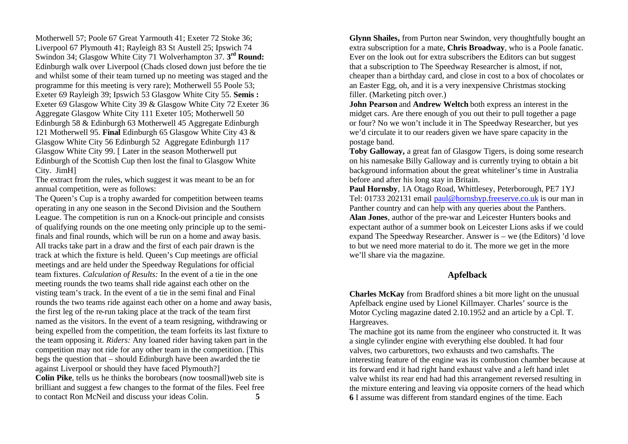Motherwell 57; Poole 67 Great Yarmouth 41; Exeter 72 Stoke 36; Liverpool 67 Plymouth 41; Rayleigh 83 St Austell 25; Ipswich 74 Swindon 34; Glasgow White City 71 Wolverhampton 37. **3 rd Round:** Edinburgh walk over Liverpool (Chads closed down just before the tie and whilst some of their team turned up no meeting was staged and the programme for this meeting is very rare); Motherwell 55 Poole 53; Exeter 69 Rayleigh 39; Ipswich 53 Glasgow White City 55. **Semis :** Exeter 69 Glasgow White City 39 & Glasgow White City 72 Exeter 36 Aggregate Glasgow White City 111 Exeter 105; Motherwell 50 Edinburgh 58 & Edinburgh 63 Motherwell 45 Aggregate Edinburgh 121 Motherwell 95. **Final** Edinburgh 65 Glasgow White City 43 & Glasgow White City 56 Edinburgh 52 Aggregate Edinburgh 117 Glasgow White City 99. [ Later in the season Motherwell put Edinburgh of the Scottish Cup then lost the final to Glasgow White City. JimH]

The extract from the rules, which suggest it was meant to be an for annual competition, were as follows:

The Queen's Cup is a trophy awarded for competition between teams operating in any one season in the Second Division and the Southern League. The competition is run on a Knock-out principle and consists of qualifying rounds on the one meeting only principle up to the semifinals and final rounds, which will be run on a home and away basis. All tracks take part in a draw and the first of each pair drawn is the track at which the fixture is held. Queen's Cup meetings are official meetings and are held under the Speedway Regulations for official team fixtures. *Calculation of Results:* In the event of a tie in the one meeting rounds the two teams shall ride against each other on the visting team's track. In the event of a tie in the semi final and Final rounds the two teams ride against each other on a home and away basis, the first leg of the re-run taking place at the track of the team first named as the visitors. In the event of a team resigning, withdrawing or being expelled from the competition, the team forfeits its last fixture to the team opposing it. *Riders:* Any loaned rider having taken part in the competition may not ride for any other team in the competition. [This begs the question that – should Edinburgh have been awarded the tie against Liverpool or should they have faced Plymouth?]

**Colin Pike**, tells us he thinks the borobears (now toosmall)web site is brilliant and suggest a few changes to the format of the files. Feel free to contact Ron McNeil and discuss your ideas Colin. **5**

**Glynn Shailes,** from Purton near Swindon, very thoughtfully bought an extra subscription for a mate, **Chris Broadway**, who is a Poole fanatic. Ever on the look out for extra subscribers the Editors can but suggest that a subscription to The Speedway Researcher is almost, if not, cheaper than a birthday card, and close in cost to a box of chocolates or an Easter Egg, oh, and it is a very inexpensive Christmas stocking filler. (Marketing pitch over.)

**John Pearson** and **Andrew Weltch** both express an interest in the midget cars. Are there enough of you out their to pull together a page or four? No we won't include it in The Speedway Researcher, but yes we'd circulate it to our readers given we have spare capacity in the postage band.

**Toby Galloway,** a great fan of Glasgow Tigers, is doing some research on his namesake Billy Galloway and is currently trying to obtain a bit background information about the great whiteliner's time in Australia before and after his long stay in Britain.

**Paul Hornsby**, 1A Otago Road, Whittlesey, Peterborough, PE7 1YJ Tel: 01733 202131 email paul@hornsbyp.freeserve.co.uk is our man in Panther country and can help with any queries about the Panthers. **Alan Jones**, author of the pre-war and Leicester Hunters books and expectant author of a summer book on Leicester Lions asks if we could expand The Speedway Researcher. Answer is – we (the Editors) 'd love to but we need more material to do it. The more we get in the more we'll share via the magazine.

### **Apfelback**

**Charles McKay** from Bradford shines a bit more light on the unusual Apfelback engine used by Lionel Killmayer. Charles' source is the Motor Cycling magazine dated 2.10.1952 and an article by a Cpl. T. Hargreaves.

The machine got its name from the engineer who constructed it. It was a single cylinder engine with everything else doubled. It had four valves, two carburettors, two exhausts and two camshafts. The interesting feature of the engine was its combustion chamber because at its forward end it had right hand exhaust valve and a left hand inlet valve whilst its rear end had had this arrangement reversed resulting in the mixture entering and leaving via opposite corners of the head which **6** I assume was different from standard engines of the time. Each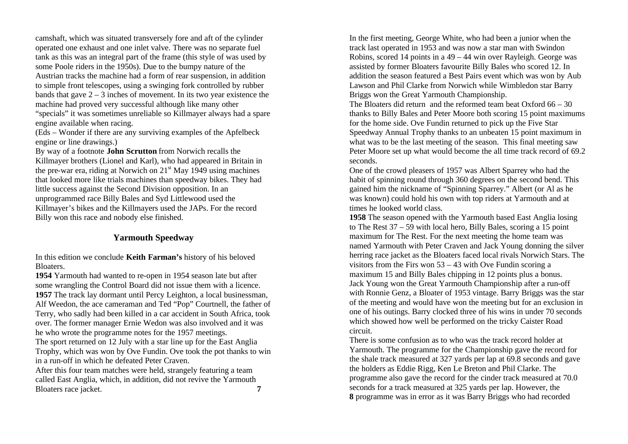camshaft, which was situated transversely fore and aft of the cylinder operated one exhaust and one inlet valve. There was no separate fuel tank as this was an integral part of the frame (this style of was used by some Poole riders in the 1950s). Due to the bumpy nature of the Austrian tracks the machine had a form of rear suspension, in addition to simple front telescopes, using a swinging fork controlled by rubber bands that gave  $2 - 3$  inches of movement. In its two year existence the machine had proved very successful although like many other "specials" it was sometimes unreliable so Killmayer always had a spare engine available when racing.

(Eds – Wonder if there are any surviving examples of the Apfelbeck engine or line drawings.)

By way of a footnote **John Scrutton** from Norwich recalls the Killmayer brothers (Lionel and Karl), who had appeared in Britain in the pre-war era, riding at Norwich on  $21<sup>st</sup>$  May 1949 using machines that looked more like trials machines than speedway bikes. They had little success against the Second Division opposition. In an unprogrammed race Billy Bales and Syd Littlewood used the Killmayer's bikes and the Killmayers used the JAPs. For the record Billy won this race and nobody else finished.

# **Yarmouth Speedway**

In this edition we conclude **Keith Farman's** history of his beloved Bloaters.

**1954** Yarmouth had wanted to re-open in 1954 season late but after some wrangling the Control Board did not issue them with a licence. **1957** The track lay dormant until Percy Leighton, a local businessman, Alf Weedon, the ace cameraman and Ted "Pop" Courtnell, the father of Terry, who sadly had been killed in a car accident in South Africa, took over. The former manager Ernie Wedon was also involved and it was he who wrote the programme notes for the 1957 meetings.

The sport returned on 12 July with a star line up for the East Anglia Trophy, which was won by Ove Fundin. Ove took the pot thanks to win in a run-off in which he defeated Peter Craven.

After this four team matches were held, strangely featuring a team called East Anglia, which, in addition, did not revive the Yarmouth Bloaters race jacket. **7**

In the first meeting, George White, who had been a junior when the track last operated in 1953 and was now a star man with Swindon Robins, scored 14 points in a 49 – 44 win over Rayleigh. George was assisted by former Bloaters favourite Billy Bales who scored 12. In addition the season featured a Best Pairs event which was won by Aub Lawson and Phil Clarke from Norwich while Wimbledon star Barry Briggs won the Great Yarmouth Championship.

The Bloaters did return and the reformed team beat Oxford 66 – 30 thanks to Billy Bales and Peter Moore both scoring 15 point maximums for the home side. Ove Fundin returned to pick up the Five Star Speedway Annual Trophy thanks to an unbeaten 15 point maximum in what was to be the last meeting of the season. This final meeting saw Peter Moore set up what would become the all time track record of 69.2 seconds.

One of the crowd pleasers of 1957 was Albert Sparrey who had the habit of spinning round through 360 degrees on the second bend. This gained him the nickname of "Spinning Sparrey." Albert (or Al as he was known) could hold his own with top riders at Yarmouth and at times he looked world class.

**1958** The season opened with the Yarmouth based East Anglia losing to The Rest 37 – 59 with local hero, Billy Bales, scoring a 15 point maximum for The Rest. For the next meeting the home team was named Yarmouth with Peter Craven and Jack Young donning the silver herring race jacket as the Bloaters faced local rivals Norwich Stars. The visitors from the Firs won  $53 - 43$  with Ove Fundin scoring a maximum 15 and Billy Bales chipping in 12 points plus a bonus. Jack Young won the Great Yarmouth Championship after a run-off with Ronnie Genz, a Bloater of 1953 vintage. Barry Briggs was the star of the meeting and would have won the meeting but for an exclusion in one of his outings. Barry clocked three of his wins in under 70 seconds which showed how well be performed on the tricky Caister Road circuit.

There is some confusion as to who was the track record holder at Yarmouth. The programme for the Championship gave the record for the shale track measured at 327 yards per lap at 69.8 seconds and gave the holders as Eddie Rigg, Ken Le Breton and Phil Clarke. The programme also gave the record for the cinder track measured at 70.0 seconds for a track measured at 325 yards per lap. However, the **8** programme was in error as it was Barry Briggs who had recorded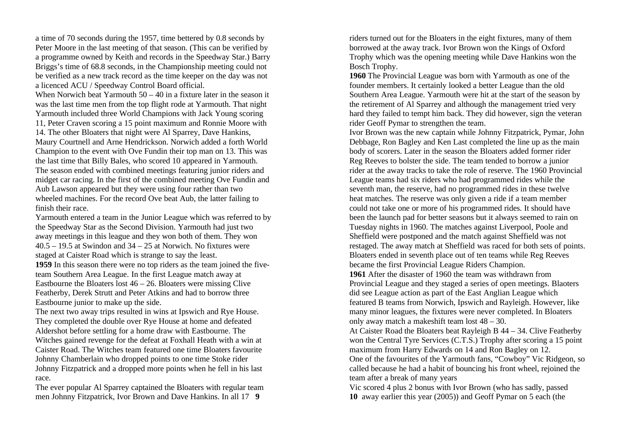a time of 70 seconds during the 1957, time bettered by 0.8 seconds by Peter Moore in the last meeting of that season. (This can be verified by a programme owned by Keith and records in the Speedway Star.) Barry Briggs's time of 68.8 seconds, in the Championship meeting could not be verified as a new track record as the time keeper on the day was not a licenced ACU / Speedway Control Board official.

When Norwich beat Yarmouth 50 – 40 in a fixture later in the season it was the last time men from the top flight rode at Yarmouth. That night Yarmouth included three World Champions with Jack Young scoring 11, Peter Craven scoring a 15 point maximum and Ronnie Moore with

14. The other Bloaters that night were Al Sparrey, Dave Hankins,

Maury Courtnell and Arne Hendrickson. Norwich added a forth World Champion to the event with Ove Fundin their top man on 13. This was the last time that Billy Bales, who scored 10 appeared in Yarmouth. The season ended with combined meetings featuring junior riders and midget car racing. In the first of the combined meeting Ove Fundin and Aub Lawson appeared but they were using four rather than two wheeled machines. For the record Ove beat Aub, the latter failing to finish their race.

Yarmouth entered a team in the Junior League which was referred to by the Speedway Star as the Second Division. Yarmouth had just two away meetings in this league and they won both of them. They won  $40.5 - 19.5$  at Swindon and  $34 - 25$  at Norwich. No fixtures were staged at Caister Road which is strange to say the least. **1959** In this season there were no top riders as the team joined the fiveteam Southern Area League. In the first League match away at Eastbourne the Bloaters lost  $46 - 26$ . Bloaters were missing Clive Featherby, Derek Strutt and Peter Atkins and had to borrow three Eastbourne junior to make up the side.

The next two away trips resulted in wins at Ipswich and Rye House. They completed the double over Rye House at home and defeated Aldershot before settling for a home draw with Eastbourne. The Witches gained revenge for the defeat at Foxhall Heath with a win at Caister Road. The Witches team featured one time Bloaters favourite Johnny Chamberlain who dropped points to one time Stoke rider Johnny Fitzpatrick and a dropped more points when he fell in his last race.

The ever popular Al Sparrey captained the Bloaters with regular team men Johnny Fitzpatrick, Ivor Brown and Dave Hankins. In all 17 **9**

riders turned out for the Bloaters in the eight fixtures, many of them borrowed at the away track. Ivor Brown won the Kings of Oxford Trophy which was the opening meeting while Dave Hankins won the Bosch Trophy.

**1960** The Provincial League was born with Yarmouth as one of the founder members. It certainly looked a better League than the old Southern Area League. Yarmouth were hit at the start of the season by the retirement of Al Sparrey and although the management tried very hard they failed to tempt him back. They did however, sign the veteran rider Geoff Pymar to strengthen the team.

Ivor Brown was the new captain while Johnny Fitzpatrick, Pymar, John Debbage, Ron Bagley and Ken Last completed the line up as the main body of scorers. Later in the season the Bloaters added former rider Reg Reeves to bolster the side. The team tended to borrow a junior rider at the away tracks to take the role of reserve. The 1960 Provincial League teams had six riders who had programmed rides while the seventh man, the reserve, had no programmed rides in these twelve heat matches. The reserve was only given a ride if a team member could not take one or more of his programmed rides. It should have been the launch pad for better seasons but it always seemed to rain on Tuesday nights in 1960. The matches against Liverpool, Poole and Sheffield were postponed and the match against Sheffield was not restaged. The away match at Sheffield was raced for both sets of points. Bloaters ended in seventh place out of ten teams while Reg Reeves became the first Provincial League Riders Champion. **1961** After the disaster of 1960 the team was withdrawn from

Provincial League and they staged a series of open meetings. Blaoters did see League action as part of the East Anglian League which featured B teams from Norwich, Ipswich and Rayleigh. However, like many minor leagues, the fixtures were never completed. In Bloaters only away match a makeshift team lost 48 – 30.

At Caister Road the Bloaters beat Rayleigh B 44 – 34. Clive Featherby won the Central Tyre Services (C.T.S.) Trophy after scoring a 15 point maximum from Harry Edwards on 14 and Ron Bagley on 12. One of the favourites of the Yarmouth fans, "Cowboy" Vic Ridgeon, so

called because he had a habit of bouncing his front wheel, rejoined the team after a break of many years

Vic scored 4 plus 2 bonus with Ivor Brown (who has sadly, passed **10** away earlier this year (2005)) and Geoff Pymar on 5 each (the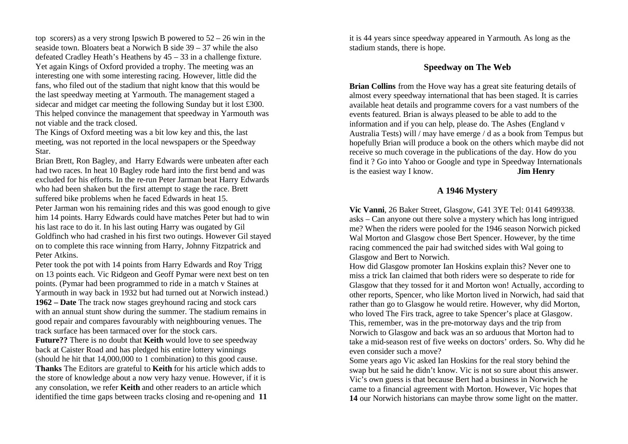top scorers) as a very strong Ipswich B powered to  $52 - 26$  win in the seaside town. Bloaters beat a Norwich B side 39 – 37 while the also defeated Cradley Heath's Heathens by 45 – 33 in a challenge fixture. Yet again Kings of Oxford provided a trophy. The meeting was an interesting one with some interesting racing. However, little did the fans, who filed out of the stadium that night know that this would be the last speedway meeting at Yarmouth. The management staged a sidecar and midget car meeting the following Sunday but it lost £300. This helped convince the management that speedway in Yarmouth was not viable and the track closed.

The Kings of Oxford meeting was a bit low key and this, the last meeting, was not reported in the local newspapers or the Speedway Star.

Brian Brett, Ron Bagley, and Harry Edwards were unbeaten after each had two races. In heat 10 Bagley rode hard into the first bend and was excluded for his efforts. In the re-run Peter Jarman beat Harry Edwards who had been shaken but the first attempt to stage the race. Brett suffered bike problems when he faced Edwards in heat 15.

Peter Jarman won his remaining rides and this was good enough to give him 14 points. Harry Edwards could have matches Peter but had to win his last race to do it. In his last outing Harry was ougated by Gil Goldfinch who had crashed in his first two outings. However Gil stayed on to complete this race winning from Harry, Johnny Fitzpatrick and Peter Atkins.

Peter took the pot with 14 points from Harry Edwards and Roy Trigg on 13 points each. Vic Ridgeon and Geoff Pymar were next best on ten points. (Pymar had been programmed to ride in a match v Staines at Yarmouth in way back in 1932 but had turned out at Norwich instead.) **1962 – Date** The track now stages greyhound racing and stock cars with an annual stunt show during the summer. The stadium remains in good repair and compares favourably with neighbouring venues. The track surface has been tarmaced over for the stock cars.

**Future??** There is no doubt that **Keith** would love to see speedway back at Caister Road and has pledged his entire lottery winnings (should he hit that 14,000,000 to 1 combination) to this good cause.

**Thanks** The Editors are grateful to **Keith** for his article which adds to the store of knowledge about a now very hazy venue. However, if it is any consolation, we refer **Keith** and other readers to an article which identified the time gaps between tracks closing and re-opening and **11** it is 44 years since speedway appeared in Yarmouth. As long as the stadium stands, there is hope.

## **Speedway on The Web**

**Brian Collins** from the Hove way has a great site featuring details of almost every speedway international that has been staged. It is carries available heat details and programme covers for a vast numbers of the events featured. Brian is always pleased to be able to add to the information and if you can help, please do. The Ashes (England v Australia Tests) will / may have emerge / d as a book from Tempus but hopefully Brian will produce a book on the others which maybe did not receive so much coverage in the publications of the day. How do you find it ? Go into Yahoo or Google and type in Speedway Internationals is the easiest way I know. **Jim Henry**

### **A 1946 Mystery**

**Vic Vanni**, 26 Baker Street, Glasgow, G41 3YE Tel: 0141 6499338. asks – Can anyone out there solve a mystery which has long intrigued me? When the riders were pooled for the 1946 season Norwich picked Wal Morton and Glasgow chose Bert Spencer. However, by the time racing commenced the pair had switched sides with Wal going to Glasgow and Bert to Norwich.

How did Glasgow promoter Ian Hoskins explain this? Never one to miss a trick Ian claimed that both riders were so desperate to ride for Glasgow that they tossed for it and Morton won! Actually, according to other reports, Spencer, who like Morton lived in Norwich, had said that rather than go to Glasgow he would retire. However, why did Morton, who loved The Firs track, agree to take Spencer's place at Glasgow. This, remember, was in the pre-motorway days and the trip from Norwich to Glasgow and back was an so arduous that Morton had to take a mid-season rest of five weeks on doctors' orders. So. Why did he even consider such a move?

Some years ago Vic asked Ian Hoskins for the real story behind the swap but he said he didn't know. Vic is not so sure about this answer. Vic's own guess is that because Bert had a business in Norwich he came to a financial agreement with Morton. However, Vic hopes that **14** our Norwich historians can maybe throw some light on the matter.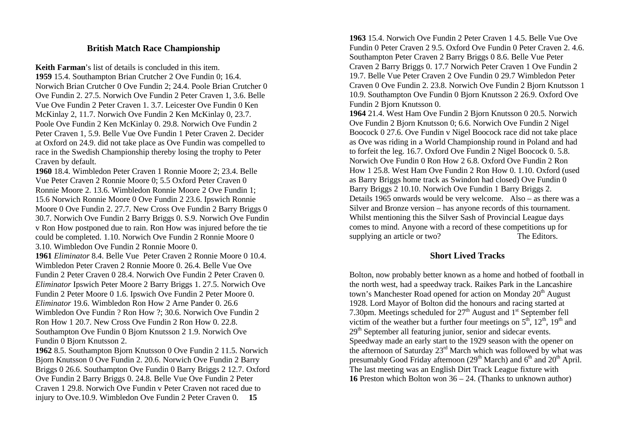## **British Match Race Championship**

**Keith Farman**'s list of details is concluded in this item. **1959** 15.4. Southampton Brian Crutcher 2 Ove Fundin 0; 16.4. Norwich Brian Crutcher 0 Ove Fundin 2; 24.4. Poole Brian Crutcher 0 Ove Fundin 2. 27.5. Norwich Ove Fundin 2 Peter Craven 1, 3.6. Belle Vue Ove Fundin 2 Peter Craven 1. 3.7. Leicester Ove Fundin 0 Ken McKinlay 2, 11.7. Norwich Ove Fundin 2 Ken McKinlay 0, 23.7. Poole Ove Fundin 2 Ken McKinlay 0. 29.8. Norwich Ove Fundin 2 Peter Craven 1, 5.9. Belle Vue Ove Fundin 1 Peter Craven 2. Decider at Oxford on 24.9. did not take place as Ove Fundin was compelled to race in the Swedish Championship thereby losing the trophy to Peter Craven by default.

**1960** 18.4. Wimbledon Peter Craven 1 Ronnie Moore 2; 23.4. Belle Vue Peter Craven 2 Ronnie Moore 0; 5.5 Oxford Peter Craven 0 Ronnie Moore 2. 13.6. Wimbledon Ronnie Moore 2 Ove Fundin 1; 15.6 Norwich Ronnie Moore 0 Ove Fundin 2 23.6. Ipswich Ronnie Moore 0 Ove Fundin 2. 27.7. New Cross Ove Fundin 2 Barry Briggs 0 30.7. Norwich Ove Fundin 2 Barry Briggs 0. S.9. Norwich Ove Fundin v Ron How postponed due to rain. Ron How was injured before the tie could be completed. 1.10. Norwich Ove Fundin 2 Ronnie Moore 0 3.10. Wimbledon Ove Fundin 2 Ronnie Moore 0.

**1961** *Eliminator* 8.4. Belle Vue Peter Craven 2 Ronnie Moore 0 10.4. Wimbledon Peter Craven 2 Ronnie Moore 0. 26.4. Belle Vue Ove Fundin 2 Peter Craven 0 28.4. Norwich Ove Fundin 2 Peter Craven 0. *Eliminator* Ipswich Peter Moore 2 Barry Briggs 1. 27.5. Norwich Ove Fundin 2 Peter Moore 0 1.6. Ipswich Ove Fundin 2 Peter Moore 0. *Eliminator* 19.6. Wimbledon Ron How 2 Arne Pander 0. 26.6 Wimbledon Ove Fundin ? Ron How ?; 30.6. Norwich Ove Fundin 2 Ron How 1 20.7. New Cross Ove Fundin 2 Ron How 0. 22.8. Southampton Ove Fundin 0 Bjorn Knutsson 2 1.9. Norwich Ove Fundin 0 Bjorn Knutsson 2.

**1962** 8.5. Southampton Bjorn Knutsson 0 Ove Fundin 2 11.5. Norwich Bjorn Knutsson 0 Ove Fundin 2. 20.6. Norwich Ove Fundin 2 Barry Briggs 0 26.6. Southampton Ove Fundin 0 Barry Briggs 2 12.7. Oxford Ove Fundin 2 Barry Briggs 0. 24.8. Belle Vue Ove Fundin 2 Peter Craven 1 29.8. Norwich Ove Fundin v Peter Craven not raced due to injury to Ove.10.9. Wimbledon Ove Fundin 2 Peter Craven 0. **15**

**1963** 15.4. Norwich Ove Fundin 2 Peter Craven 1 4.5. Belle Vue Ove Fundin 0 Peter Craven 2 9.5. Oxford Ove Fundin 0 Peter Craven 2. 4.6. Southampton Peter Craven 2 Barry Briggs 0 8.6. Belle Vue Peter Craven 2 Barry Briggs 0. 17.7 Norwich Peter Craven 1 Ove Fundin 2 19.7. Belle Vue Peter Craven 2 Ove Fundin 0 29.7 Wimbledon Peter Craven 0 Ove Fundin 2. 23.8. Norwich Ove Fundin 2 Bjorn Knutsson 1 10.9. Southampton Ove Fundin 0 Bjorn Knutsson 2 26.9. Oxford Ove Fundin 2 Bjorn Knutsson 0.

**1964** 21.4. West Ham Ove Fundin 2 Bjorn Knutsson 0 20.5. Norwich Ove Fundin 2 Bjorn Knutsson 0; 6.6. Norwich Ove Fundin 2 Nigel Boocock 0 27.6. Ove Fundin v Nigel Boocock race did not take place as Ove was riding in a World Championship round in Poland and had to forfeit the leg. 16.7. Oxford Ove Fundin 2 Nigel Boocock 0. 5.8. Norwich Ove Fundin 0 Ron How 2 6.8. Oxford Ove Fundin 2 Ron How 1 25.8. West Ham Ove Fundin 2 Ron How 0. 1.10. Oxford (used as Barry Briggs home track as Swindon had closed) Ove Fundin 0 Barry Briggs 2 10.10. Norwich Ove Fundin 1 Barry Briggs 2. Details 1965 onwards would be very welcome. Also – as there was a Silver and Bronze version – has anyone records of this tournament. Whilst mentioning this the Silver Sash of Provincial League days comes to mind. Anyone with a record of these competitions up for supplying an article or two? The Editors.

### **Short Lived Tracks**

Bolton, now probably better known as a home and hotbed of football in the north west, had a speedway track. Raikes Park in the Lancashire town's Manchester Road opened for action on Monday  $20<sup>th</sup>$  August 1928. Lord Mayor of Bolton did the honours and racing started at 7.30pm. Meetings scheduled for  $27<sup>th</sup>$  August and  $1<sup>st</sup>$  September fell victim of the weather but a further four meetings on  $5<sup>th</sup>$ ,  $12<sup>th</sup>$ ,  $19<sup>th</sup>$  and 29<sup>th</sup> September all featuring junior, senior and sidecar events. Speedway made an early start to the 1929 season with the opener on the afternoon of Saturday 23rd March which was followed by what was presumably Good Friday afternoon  $(29<sup>th</sup> March)$  and  $6<sup>th</sup>$  and  $20<sup>th</sup>$  April. The last meeting was an English Dirt Track League fixture with **16** Preston which Bolton won 36 – 24. (Thanks to unknown author)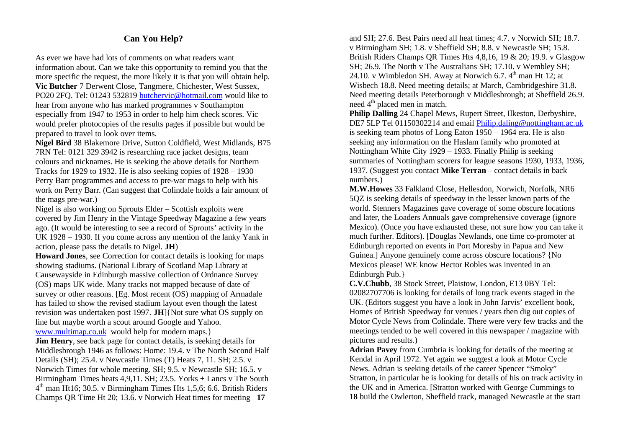# **Can You Help?**

As ever we have had lots of comments on what readers want information about. Can we take this opportunity to remind you that the more specific the request, the more likely it is that you will obtain help. **Vic Butcher** 7 Derwent Close, Tangmere, Chichester, West Sussex, PO20 2FQ. Tel: 01243 532819 butchervic@hotmail.com would like to hear from anyone who has marked programmes v Southampton especially from 1947 to 1953 in order to help him check scores. Vic would prefer photocopies of the results pages if possible but would be prepared to travel to look over items.

**Nigel Bird** 38 Blakemore Drive, Sutton Coldfield, West Midlands, B75 7RN Tel: 0121 329 3942 is researching race jacket designs, team colours and nicknames. He is seeking the above details for Northern Tracks for 1929 to 1932. He is also seeking copies of 1928 – 1930 Perry Barr programmes and access to pre-war mags to help with his work on Perry Barr. (Can suggest that Colindale holds a fair amount of the mags pre-war.)

Nigel is also working on Sprouts Elder – Scottish exploits were covered by Jim Henry in the Vintage Speedway Magazine a few years ago. (It would be interesting to see a record of Sprouts' activity in the UK 1928 – 1930. If you come across any mention of the lanky Yank in action, please pass the details to Nigel. **JH**)

**Howard Jones**, see Correction for contact details is looking for maps showing stadiums. (National Library of Scotland Map Library at Causewayside in Edinburgh massive collection of Ordnance Survey (OS) maps UK wide. Many tracks not mapped because of date of survey or other reasons. [Eg. Most recent (OS) mapping of Armadale has failed to show the revised stadium layout even though the latest revision was undertaken post 1997. **JH**]{Not sure what OS supply on line but maybe worth a scout around Google and Yahoo. www.multimap.co.uk would help for modern maps.}

**Jim Henry**, see back page for contact details, is seeking details for Middlesbrough 1946 as follows: Home: 19.4. v The North Second Half Details (SH); 25.4. v Newcastle Times (T) Heats 7, 11. SH; 2.5. v Norwich Times for whole meeting. SH; 9.5. v Newcastle SH; 16.5. v Birmingham Times heats 4,9,11. SH; 23.5. Yorks + Lancs v The South  $4<sup>th</sup>$  man Ht16; 30.5. v Birmingham Times Hts 1,5,6; 6.6. British Riders Champs QR Time Ht 20; 13.6. v Norwich Heat times for meeting **17**

and SH; 27.6. Best Pairs need all heat times; 4.7. v Norwich SH; 18.7. v Birmingham SH; 1.8. v Sheffield SH; 8.8. v Newcastle SH; 15.8. British Riders Champs QR Times Hts 4,8,16, 19 & 20; 19.9. v Glasgow SH; 26.9. The North v The Australians SH; 17.10. v Wembley SH; 24.10. v Wimbledon SH. Away at Norwich 6.7.  $4<sup>th</sup>$  man Ht 12; at Wisbech 18.8. Need meeting details; at March, Cambridgeshire 31.8. Need meeting details Peterborough v Middlesbrough; at Sheffield 26.9. need 4<sup>th</sup> placed men in match.

**Philip Dalling** 24 Chapel Mews, Rupert Street, Ilkeston, Derbyshire, DE7 5LP Tel 01150302214 and email Philip.daling@nottingham.ac.uk is seeking team photos of Long Eaton 1950 – 1964 era. He is also seeking any information on the Haslam family who promoted at Nottingham White City 1929 – 1933. Finally Philip is seeking summaries of Nottingham scorers for league seasons 1930, 1933, 1936, 1937. (Suggest you contact **Mike Terran** – contact details in back numbers.)

**M.W.Howes** 33 Falkland Close, Hellesdon, Norwich, Norfolk, NR6 5QZ is seeking details of speedway in the lesser known parts of the world. Stenners Magazines gave coverage of some obscure locations and later, the Loaders Annuals gave comprehensive coverage (ignore Mexico). (Once you have exhausted these, not sure how you can take it much further. Editors). [Douglas Newlands, one time co-promoter at Edinburgh reported on events in Port Moresby in Papua and New Guinea.] Anyone genuinely come across obscure locations? {No Mexicos please! WE know Hector Robles was invented in an Edinburgh Pub.}

**C.V.Chubb**, 38 Stock Street, Plaistow, London, E13 0BY Tel: 02082707706 is looking for details of long track events staged in the UK. (Editors suggest you have a look in John Jarvis' excellent book, Homes of British Speedway for venues / years then dig out copies of Motor Cycle News from Colindale. There were very few tracks and the meetings tended to be well covered in this newspaper / magazine with pictures and results.)

**Adrian Pavey** from Cumbria is looking for details of the meeting at Kendal in April 1972. Yet again we suggest a look at Motor Cycle News. Adrian is seeking details of the career Spencer "Smoky" Stratton, in particular he is looking for details of his on track activity in the UK and in America. [Stratton worked with George Cummings to **18** build the Owlerton, Sheffield track, managed Newcastle at the start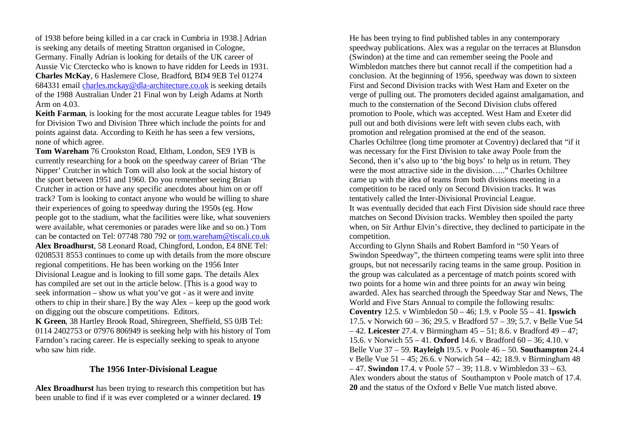of 1938 before being killed in a car crack in Cumbria in 1938.] Adrian is seeking any details of meeting Stratton organised in Cologne, Germany. Finally Adrian is looking for details of the UK career of Aussie Vic Cterctecko who is known to have ridden for Leeds in 1931. **Charles McKay**, 6 Haslemere Close, Bradford, BD4 9EB Tel 01274 684331 email charles.mckay@dla-architecture.co.uk is seeking details of the 1988 Australian Under 21 Final won by Leigh Adams at North Arm on 4.03.

**Keith Farman**, is looking for the most accurate League tables for 1949 for Division Two and Division Three which include the points for and points against data. According to Keith he has seen a few versions, none of which agree.

**Tom Wareham** 76 Crookston Road, Eltham, London, SE9 1YB is currently researching for a book on the speedway career of Brian 'The Nipper' Crutcher in which Tom will also look at the social history of the sport between 1951 and 1960. Do you remember seeing Brian Crutcher in action or have any specific anecdotes about him on or off track? Tom is looking to contact anyone who would be willing to share their experiences of going to speedway during the 1950s (eg. How people got to the stadium, what the facilities were like, what souveniers were available, what ceremonies or parades were like and so on.) Tom can be contacted on Tel: 07748 780 792 or tom.wareham@tiscali.co.uk **Alex Broadhurst**, 58 Leonard Road, Chingford, London, E4 8NE Tel: 0208531 8553 continues to come up with details from the more obscure regional competitions. He has been working on the 1956 Inter Divisional League and is looking to fill some gaps. The details Alex has compiled are set out in the article below. [This is a good way to seek information – show us what you've got - as it were and invite others to chip in their share.] By the way Alex – keep up the good work on digging out the obscure competitions. Editors. **K Green**, 38 Hartley Brook Road, Shiregreen, Sheffield, S5 0JB Tel: 0114 2402753 or 07976 806949 is seeking help with his history of Tom Farndon's racing career. He is especially seeking to speak to anyone who saw him ride.

### **The 1956 Inter-Divisional League**

**Alex Broadhurst** has been trying to research this competition but has been unable to find if it was ever completed or a winner declared. **19**

He has been trying to find published tables in any contemporary speedway publications. Alex was a regular on the terraces at Blunsdon (Swindon) at the time and can remember seeing the Poole and Wimbledon matches there but cannot recall if the competition had a conclusion. At the beginning of 1956, speedway was down to sixteen First and Second Division tracks with West Ham and Exeter on the verge of pulling out. The promoters decided against amalgamation, and much to the consternation of the Second Division clubs offered promotion to Poole, which was accepted. West Ham and Exeter did pull out and both divisions were left with seven clubs each, with promotion and relegation promised at the end of the season. Charles Ochiltree (long time promoter at Coventry) declared that "if it was necessary for the First Division to take away Poole from the Second, then it's also up to 'the big boys' to help us in return. They were the most attractive side in the division….." Charles Ochiltree came up with the idea of teams from both divisions meeting in a competition to be raced only on Second Division tracks. It was tentatively called the Inter-Divisional Provincial League. It was eventually decided that each First Division side should race three matches on Second Division tracks. Wembley then spoiled the party when, on Sir Arthur Elvin's directive, they declined to participate in the competition.

According to Glynn Shails and Robert Bamford in "50 Years of Swindon Speedway", the thirteen competing teams were split into three groups, but not necessarily racing teams in the same group. Position in the group was calculated as a percentage of match points scored with two points for a home win and three points for an away win being awarded. Alex has searched through the Speedway Star and News, The World and Five Stars Annual to compile the following results: **Coventry** 12.5. v Wimbledon 50 – 46; 1.9. v Poole 55 – 41. **Ipswich** 17.5. v Norwich 60 – 36; 29.5. v Bradford 57 – 39; 5.7. v Belle Vue 54 – 42. **Leicester** 27.4. v Birmingham 45 – 51; 8.6. v Bradford 49 – 47; 15.6. v Norwich 55 – 41. **Oxford** 14.6. v Bradford 60 – 36; 4.10. v Belle Vue 37 – 59. **Rayleigh** 19.5. v Poole 46 – 50. **Southampton** 24.4 v Belle Vue 51 – 45; 26.6. v Norwich 54 – 42; 18.9. v Birmingham 48 – 47. **Swindon** 17.4. v Poole 57 – 39; 11.8. v Wimbledon 33 – 63. Alex wonders about the status of Southampton v Poole match of 17.4. **20** and the status of the Oxford v Belle Vue match listed above.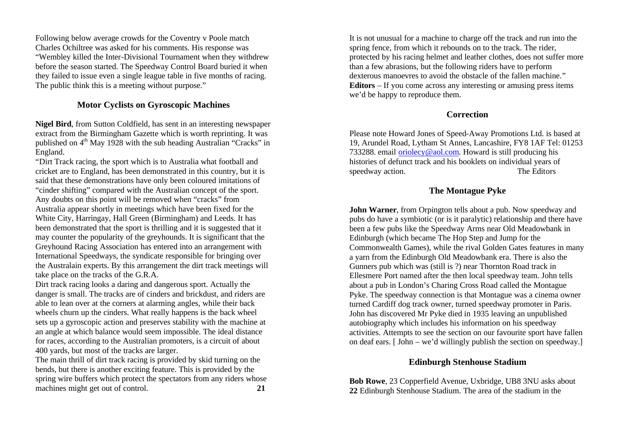Following below average crowds for the Coventry v Poole match Charles Ochiltree was asked for his comments. His response was "Wembley killed the Inter-Divisional Tournament when they withdrew before the season started. The Speedway Control Board buried it when they failed to issue even a single league table in five months of racing. The public think this is a meeting without purpose."

# **Motor Cyclists on Gyroscopic Machines**

**Nigel Bird**, from Sutton Coldfield, has sent in an interesting newspaper extract from the Birmingham Gazette which is worth reprinting. It was published on  $4<sup>th</sup>$  May 1928 with the sub heading Australian "Cracks" in England.

"Dirt Track racing, the sport which is to Australia what football and cricket are to England, has been demonstrated in this country, but it is said that these demonstrations have only been coloured imitations of "cinder shifting" compared with the Australian concept of the sport. Any doubts on this point will be removed when "cracks" from Australia appear shortly in meetings which have been fixed for the White City, Harringay, Hall Green (Birmingham) and Leeds. It has been demonstrated that the sport is thrilling and it is suggested that it may counter the popularity of the greyhounds. It is significant that the Greyhound Racing Association has entered into an arrangement with International Speedways, the syndicate responsible for bringing over the Australain experts. By this arrangement the dirt track meetings will take place on the tracks of the G.R.A.

Dirt track racing looks a daring and dangerous sport. Actually the danger is small. The tracks are of cinders and brickdust, and riders are able to lean over at the corners at alarming angles, while their back wheels churn up the cinders. What really happens is the back wheel sets up a gyroscopic action and preserves stability with the machine at an angle at which balance would seem impossible. The ideal distance for races, according to the Australian promoters, is a circuit of about 400 yards, but most of the tracks are larger.

The main thrill of dirt track racing is provided by skid turning on the bends, but there is another exciting feature. This is provided by the spring wire buffers which protect the spectators from any riders whose machines might get out of control. **21** 

It is not unusual for a machine to charge off the track and run into the spring fence, from which it rebounds on to the track. The rider, protected by his racing helmet and leather clothes, does not suffer more than a few abrasions, but the following riders have to perform dexterous manoevres to avoid the obstacle of the fallen machine." **Editors** – If you come across any interesting or amusing press items we'd be happy to reproduce them.

### **Correction**

Please note Howard Jones of Speed-Away Promotions Ltd. is based at 19, Arundel Road, Lytham St Annes, Lancashire, FY8 1AF Tel: 01253 733288. email oriolecy@aol.com. Howard is still producing his histories of defunct track and his booklets on individual years of speedway action. The Editors

# **The Montague Pyke**

**John Warner**, from Orpington tells about a pub. Now speedway and pubs do have a symbiotic (or is it paralytic) relationship and there have been a few pubs like the Speedway Arms near Old Meadowbank in Edinburgh (which became The Hop Step and Jump for the Commonwealth Games), while the rival Golden Gates features in many a yarn from the Edinburgh Old Meadowbank era. There is also the Gunners pub which was (still is ?) near Thornton Road track in Ellesmere Port named after the then local speedway team. John tells about a pub in London's Charing Cross Road called the Montague Pyke. The speedway connection is that Montague was a cinema owner turned Cardiff dog track owner, turned speedway promoter in Paris. John has discovered Mr Pyke died in 1935 leaving an unpublished autobiography which includes his information on his speedway activities. Attempts to see the section on our favourite sport have fallen on deaf ears. [ John – we'd willingly publish the section on speedway.]

### **Edinburgh Stenhouse Stadium**

**Bob Rowe**, 23 Copperfield Avenue, Uxbridge, UB8 3NU asks about **22** Edinburgh Stenhouse Stadium. The area of the stadium in the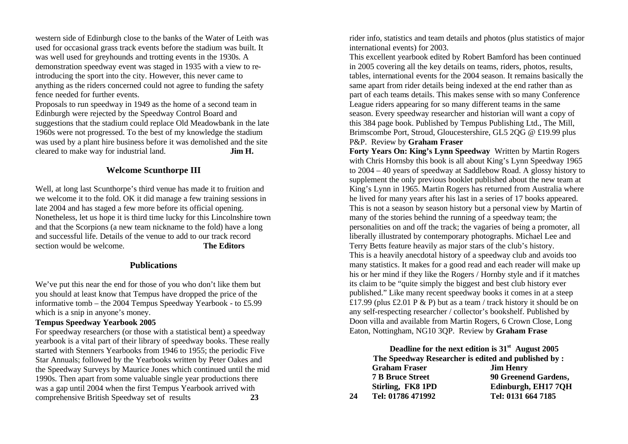western side of Edinburgh close to the banks of the Water of Leith was used for occasional grass track events before the stadium was built. It was well used for greyhounds and trotting events in the 1930s. A demonstration speedway event was staged in 1935 with a view to reintroducing the sport into the city. However, this never came to anything as the riders concerned could not agree to funding the safety fence needed for further events.

Proposals to run speedway in 1949 as the home of a second team in Edinburgh were rejected by the Speedway Control Board and suggestions that the stadium could replace Old Meadowbank in the late 1960s were not progressed. To the best of my knowledge the stadium was used by a plant hire business before it was demolished and the site cleared to make way for industrial land. **Jim H.**

### **Welcome Scunthorpe III**

Well, at long last Scunthorpe's third venue has made it to fruition and we welcome it to the fold. OK it did manage a few training sessions in late 2004 and has staged a few more before its official opening. Nonetheless, let us hope it is third time lucky for this Lincolnshire town and that the Scorpions (a new team nickname to the fold) have a long and successful life. Details of the venue to add to our track record section would be welcome. **The Editors** 

### **Publications**

We've put this near the end for those of you who don't like them but you should at least know that Tempus have dropped the price of the informative tomb – the 2004 Tempus Speedway Yearbook - to £5.99 which is a snip in anyone's money.

### **Tempus Speedway Yearbook 2005**

For speedway researchers (or those with a statistical bent) a speedway yearbook is a vital part of their library of speedway books. These really started with Stenners Yearbooks from 1946 to 1955; the periodic Five Star Annuals; followed by the Yearbooks written by Peter Oakes and the Speedway Surveys by Maurice Jones which continued until the mid 1990s. Then apart from some valuable single year productions there was a gap until 2004 when the first Tempus Yearbook arrived with comprehensive British Speedway set of results **23**

rider info, statistics and team details and photos (plus statistics of major international events) for 2003.

This excellent yearbook edited by Robert Bamford has been continued in 2005 covering all the key details on teams, riders, photos, results, tables, international events for the 2004 season. It remains basically the same apart from rider details being indexed at the end rather than as part of each teams details. This makes sense with so many Conference League riders appearing for so many different teams in the same season. Every speedway researcher and historian will want a copy of this 384 page book. Published by Tempus Publishing Ltd., The Mill, Brimscombe Port, Stroud, Gloucestershire, GL5 2QG @ £19.99 plus P&P. Review by **Graham Fraser**

**Forty Years On: King's Lynn Speedway** Written by Martin Rogers with Chris Hornsby this book is all about King's Lynn Speedway 1965 to 2004 – 40 years of speedway at Saddlebow Road. A glossy history to supplement the only previous booklet published about the new team at King's Lynn in 1965. Martin Rogers has returned from Australia where he lived for many years after his last in a series of 17 books appeared. This is not a season by season history but a personal view by Martin of many of the stories behind the running of a speedway team; the personalities on and off the track; the vagaries of being a promoter, all liberally illustrated by contemporary photographs. Michael Lee and Terry Betts feature heavily as major stars of the club's history. This is a heavily anecdotal history of a speedway club and avoids too many statistics. It makes for a good read and each reader will make up his or her mind if they like the Rogers / Hornby style and if it matches its claim to be "quite simply the biggest and best club history ever published." Like many recent speedway books it comes in at a steep £17.99 (plus £2.01 P  $\&$  P) but as a team / track history it should be on any self-respecting researcher / collector's bookshelf. Published by Doon villa and available from Martin Rogers, 6 Crown Close, Long Eaton, Nottingham, NG10 3QP. Review by **Graham Frase**

**Deadline for the next edition is 31st August 2005 The Speedway Researcher is edited and published by : Graham Fraser Jim Henry 7 B Bruce Street 90 Greenend Gardens, Stirling, FK8 1PD Edinburgh, EH17 7QH 24 Tel: 01786 471992 Tel: 0131 664 7185**